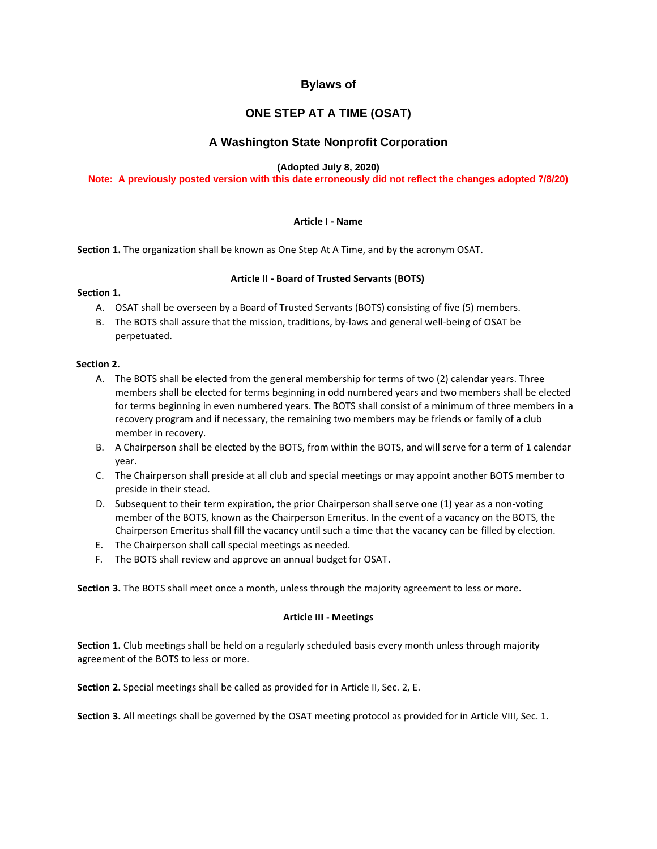# **Bylaws of**

# **ONE STEP AT A TIME (OSAT)**

## **A Washington State Nonprofit Corporation**

## **(Adopted July 8, 2020)**

## **Note: A previously posted version with this date erroneously did not reflect the changes adopted 7/8/20)**

## **Article I - Name**

**Section 1.** The organization shall be known as One Step At A Time, and by the acronym OSAT.

## **Article II - Board of Trusted Servants (BOTS)**

## **Section 1.**

- A. OSAT shall be overseen by a Board of Trusted Servants (BOTS) consisting of five (5) members.
- B. The BOTS shall assure that the mission, traditions, by-laws and general well-being of OSAT be perpetuated.

## **Section 2.**

- A. The BOTS shall be elected from the general membership for terms of two (2) calendar years. Three members shall be elected for terms beginning in odd numbered years and two members shall be elected for terms beginning in even numbered years. The BOTS shall consist of a minimum of three members in a recovery program and if necessary, the remaining two members may be friends or family of a club member in recovery.
- B. A Chairperson shall be elected by the BOTS, from within the BOTS, and will serve for a term of 1 calendar year.
- C. The Chairperson shall preside at all club and special meetings or may appoint another BOTS member to preside in their stead.
- D. Subsequent to their term expiration, the prior Chairperson shall serve one (1) year as a non-voting member of the BOTS, known as the Chairperson Emeritus. In the event of a vacancy on the BOTS, the Chairperson Emeritus shall fill the vacancy until such a time that the vacancy can be filled by election.
- E. The Chairperson shall call special meetings as needed.
- F. The BOTS shall review and approve an annual budget for OSAT.

**Section 3.** The BOTS shall meet once a month, unless through the majority agreement to less or more.

#### **Article III - Meetings**

**Section 1.** Club meetings shall be held on a regularly scheduled basis every month unless through majority agreement of the BOTS to less or more.

**Section 2.** Special meetings shall be called as provided for in Article II, Sec. 2, E.

**Section 3.** All meetings shall be governed by the OSAT meeting protocol as provided for in Article VIII, Sec. 1.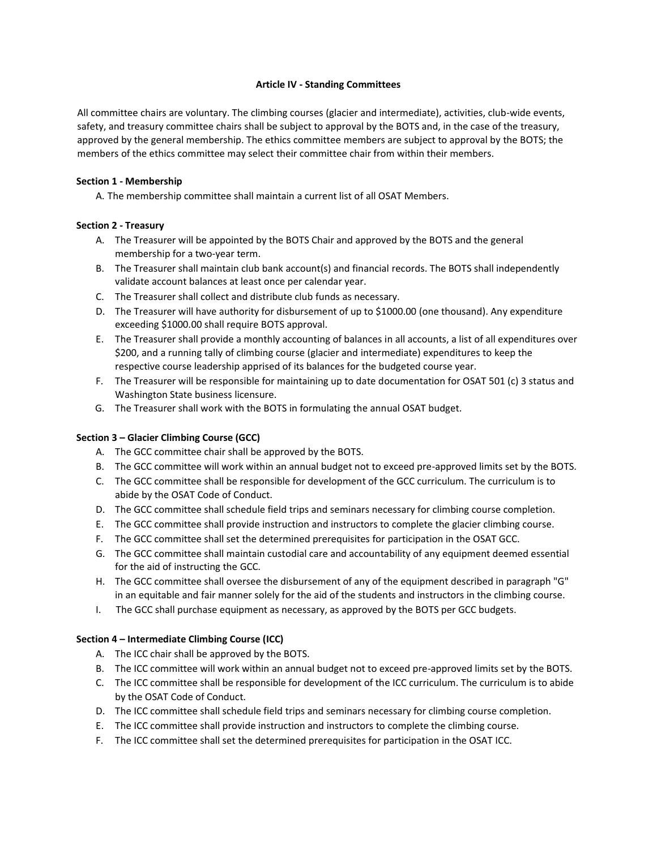## **Article IV - Standing Committees**

All committee chairs are voluntary. The climbing courses (glacier and intermediate), activities, club-wide events, safety, and treasury committee chairs shall be subject to approval by the BOTS and, in the case of the treasury, approved by the general membership. The ethics committee members are subject to approval by the BOTS; the members of the ethics committee may select their committee chair from within their members.

## **Section 1 - Membership**

A. The membership committee shall maintain a current list of all OSAT Members.

## **Section 2 - Treasury**

- A. The Treasurer will be appointed by the BOTS Chair and approved by the BOTS and the general membership for a two-year term.
- B. The Treasurer shall maintain club bank account(s) and financial records. The BOTS shall independently validate account balances at least once per calendar year.
- C. The Treasurer shall collect and distribute club funds as necessary.
- D. The Treasurer will have authority for disbursement of up to \$1000.00 (one thousand). Any expenditure exceeding \$1000.00 shall require BOTS approval.
- E. The Treasurer shall provide a monthly accounting of balances in all accounts, a list of all expenditures over \$200, and a running tally of climbing course (glacier and intermediate) expenditures to keep the respective course leadership apprised of its balances for the budgeted course year.
- F. The Treasurer will be responsible for maintaining up to date documentation for OSAT 501 (c) 3 status and Washington State business licensure.
- G. The Treasurer shall work with the BOTS in formulating the annual OSAT budget.

## **Section 3 – Glacier Climbing Course (GCC)**

- A. The GCC committee chair shall be approved by the BOTS.
- B. The GCC committee will work within an annual budget not to exceed pre-approved limits set by the BOTS.
- C. The GCC committee shall be responsible for development of the GCC curriculum. The curriculum is to abide by the OSAT Code of Conduct.
- D. The GCC committee shall schedule field trips and seminars necessary for climbing course completion.
- E. The GCC committee shall provide instruction and instructors to complete the glacier climbing course.
- F. The GCC committee shall set the determined prerequisites for participation in the OSAT GCC.
- G. The GCC committee shall maintain custodial care and accountability of any equipment deemed essential for the aid of instructing the GCC.
- H. The GCC committee shall oversee the disbursement of any of the equipment described in paragraph "G" in an equitable and fair manner solely for the aid of the students and instructors in the climbing course.
- I. The GCC shall purchase equipment as necessary, as approved by the BOTS per GCC budgets.

#### **Section 4 – Intermediate Climbing Course (ICC)**

- A. The ICC chair shall be approved by the BOTS.
- B. The ICC committee will work within an annual budget not to exceed pre-approved limits set by the BOTS.
- C. The ICC committee shall be responsible for development of the ICC curriculum. The curriculum is to abide by the OSAT Code of Conduct.
- D. The ICC committee shall schedule field trips and seminars necessary for climbing course completion.
- E. The ICC committee shall provide instruction and instructors to complete the climbing course.
- F. The ICC committee shall set the determined prerequisites for participation in the OSAT ICC.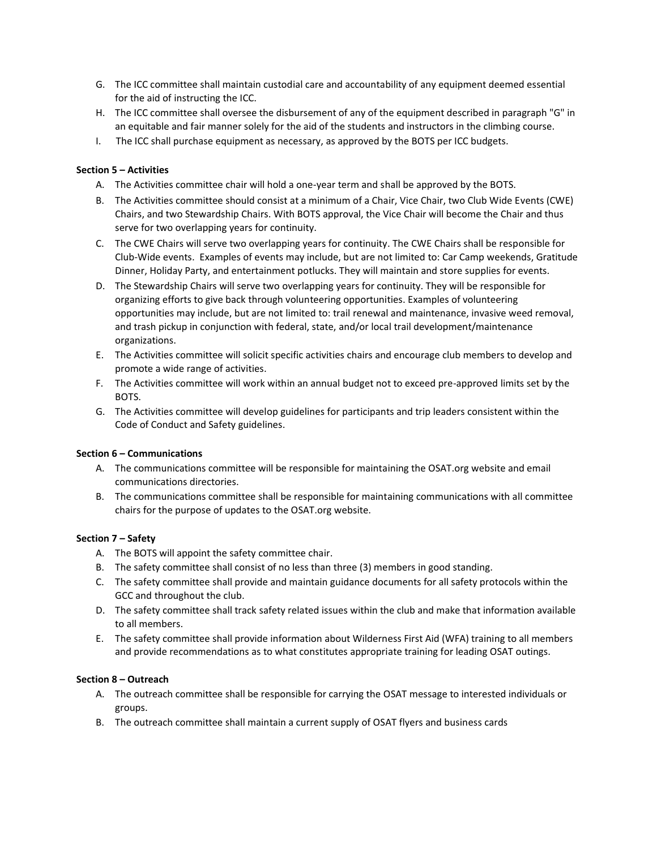- G. The ICC committee shall maintain custodial care and accountability of any equipment deemed essential for the aid of instructing the ICC.
- H. The ICC committee shall oversee the disbursement of any of the equipment described in paragraph "G" in an equitable and fair manner solely for the aid of the students and instructors in the climbing course.
- I. The ICC shall purchase equipment as necessary, as approved by the BOTS per ICC budgets.

## **Section 5 – Activities**

- A. The Activities committee chair will hold a one-year term and shall be approved by the BOTS.
- B. The Activities committee should consist at a minimum of a Chair, Vice Chair, two Club Wide Events (CWE) Chairs, and two Stewardship Chairs. With BOTS approval, the Vice Chair will become the Chair and thus serve for two overlapping years for continuity.
- C. The CWE Chairs will serve two overlapping years for continuity. The CWE Chairs shall be responsible for Club-Wide events. Examples of events may include, but are not limited to: Car Camp weekends, Gratitude Dinner, Holiday Party, and entertainment potlucks. They will maintain and store supplies for events.
- D. The Stewardship Chairs will serve two overlapping years for continuity. They will be responsible for organizing efforts to give back through volunteering opportunities. Examples of volunteering opportunities may include, but are not limited to: trail renewal and maintenance, invasive weed removal, and trash pickup in conjunction with federal, state, and/or local trail development/maintenance organizations.
- E. The Activities committee will solicit specific activities chairs and encourage club members to develop and promote a wide range of activities.
- F. The Activities committee will work within an annual budget not to exceed pre-approved limits set by the BOTS.
- G. The Activities committee will develop guidelines for participants and trip leaders consistent within the Code of Conduct and Safety guidelines.

#### **Section 6 – Communications**

- A. The communications committee will be responsible for maintaining the OSAT.org website and email communications directories.
- B. The communications committee shall be responsible for maintaining communications with all committee chairs for the purpose of updates to the OSAT.org website.

## **Section 7 – Safety**

- A. The BOTS will appoint the safety committee chair.
- B. The safety committee shall consist of no less than three (3) members in good standing.
- C. The safety committee shall provide and maintain guidance documents for all safety protocols within the GCC and throughout the club.
- D. The safety committee shall track safety related issues within the club and make that information available to all members.
- E. The safety committee shall provide information about Wilderness First Aid (WFA) training to all members and provide recommendations as to what constitutes appropriate training for leading OSAT outings.

#### **Section 8 – Outreach**

- A. The outreach committee shall be responsible for carrying the OSAT message to interested individuals or groups.
- B. The outreach committee shall maintain a current supply of OSAT flyers and business cards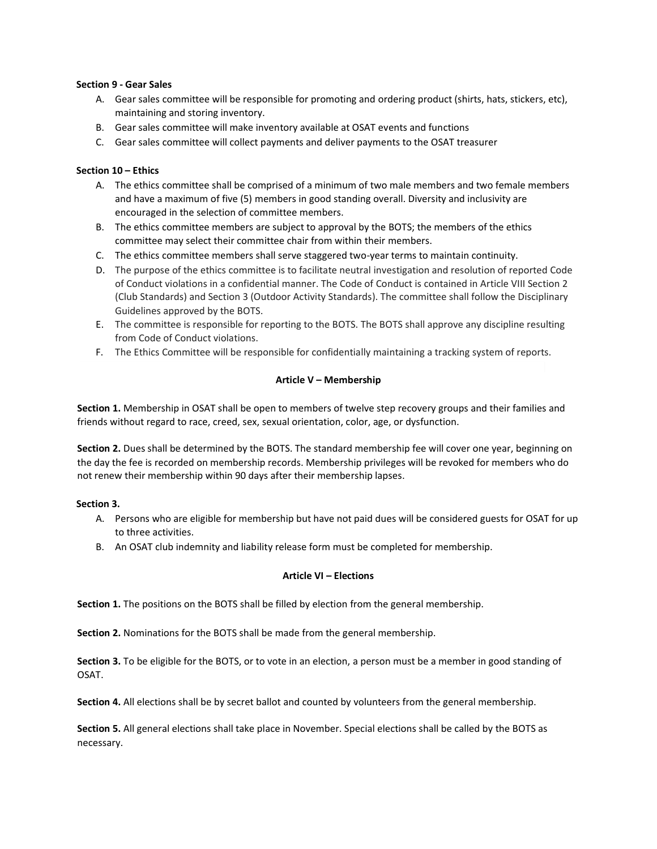## **Section 9 - Gear Sales**

- A. Gear sales committee will be responsible for promoting and ordering product (shirts, hats, stickers, etc), maintaining and storing inventory.
- B. Gear sales committee will make inventory available at OSAT events and functions
- C. Gear sales committee will collect payments and deliver payments to the OSAT treasurer

## **Section 10 – Ethics**

- A. The ethics committee shall be comprised of a minimum of two male members and two female members and have a maximum of five (5) members in good standing overall. Diversity and inclusivity are encouraged in the selection of committee members.
- B. The ethics committee members are subject to approval by the BOTS; the members of the ethics committee may select their committee chair from within their members.
- C. The ethics committee members shall serve staggered two-year terms to maintain continuity.
- D. The purpose of the ethics committee is to facilitate neutral investigation and resolution of reported Code of Conduct violations in a confidential manner. The Code of Conduct is contained in Article VIII Section 2 (Club Standards) and Section 3 (Outdoor Activity Standards). The committee shall follow the Disciplinary Guidelines approved by the BOTS.
- E. The committee is responsible for reporting to the BOTS. The BOTS shall approve any discipline resulting from Code of Conduct violations.
- F. The Ethics Committee will be responsible for confidentially maintaining a tracking system of reports.

## **Article V – Membership**

**Section 1.** Membership in OSAT shall be open to members of twelve step recovery groups and their families and friends without regard to race, creed, sex, sexual orientation, color, age, or dysfunction.

**Section 2.** Dues shall be determined by the BOTS. The standard membership fee will cover one year, beginning on the day the fee is recorded on membership records. Membership privileges will be revoked for members who do not renew their membership within 90 days after their membership lapses.

## **Section 3.**

- A. Persons who are eligible for membership but have not paid dues will be considered guests for OSAT for up to three activities.
- B. An OSAT club indemnity and liability release form must be completed for membership.

## **Article VI – Elections**

**Section 1.** The positions on the BOTS shall be filled by election from the general membership.

**Section 2.** Nominations for the BOTS shall be made from the general membership.

**Section 3.** To be eligible for the BOTS, or to vote in an election, a person must be a member in good standing of OSAT.

**Section 4.** All elections shall be by secret ballot and counted by volunteers from the general membership.

**Section 5.** All general elections shall take place in November. Special elections shall be called by the BOTS as necessary.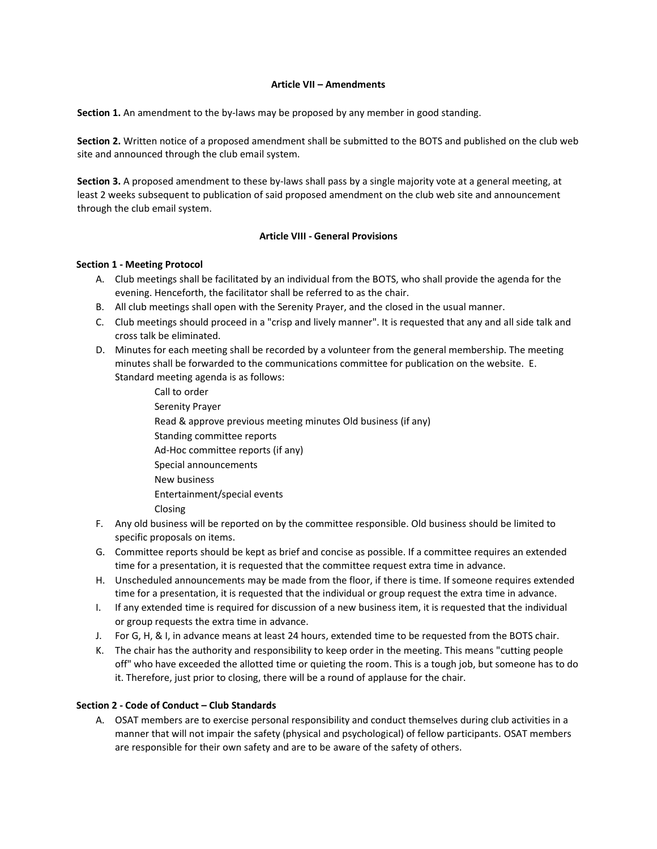## **Article VII – Amendments**

**Section 1.** An amendment to the by-laws may be proposed by any member in good standing.

**Section 2.** Written notice of a proposed amendment shall be submitted to the BOTS and published on the club web site and announced through the club email system.

**Section 3.** A proposed amendment to these by-laws shall pass by a single majority vote at a general meeting, at least 2 weeks subsequent to publication of said proposed amendment on the club web site and announcement through the club email system.

## **Article VIII - General Provisions**

#### **Section 1 - Meeting Protocol**

- A. Club meetings shall be facilitated by an individual from the BOTS, who shall provide the agenda for the evening. Henceforth, the facilitator shall be referred to as the chair.
- B. All club meetings shall open with the Serenity Prayer, and the closed in the usual manner.
- C. Club meetings should proceed in a "crisp and lively manner". It is requested that any and all side talk and cross talk be eliminated.
- D. Minutes for each meeting shall be recorded by a volunteer from the general membership. The meeting minutes shall be forwarded to the communications committee for publication on the website. E. Standard meeting agenda is as follows:
	- Call to order Serenity Prayer Read & approve previous meeting minutes Old business (if any) Standing committee reports Ad-Hoc committee reports (if any) Special announcements New business Entertainment/special events Closing
- F. Any old business will be reported on by the committee responsible. Old business should be limited to specific proposals on items.
- G. Committee reports should be kept as brief and concise as possible. If a committee requires an extended time for a presentation, it is requested that the committee request extra time in advance.
- H. Unscheduled announcements may be made from the floor, if there is time. If someone requires extended time for a presentation, it is requested that the individual or group request the extra time in advance.
- I. If any extended time is required for discussion of a new business item, it is requested that the individual or group requests the extra time in advance.
- J. For G, H, & I, in advance means at least 24 hours, extended time to be requested from the BOTS chair.
- K. The chair has the authority and responsibility to keep order in the meeting. This means "cutting people off" who have exceeded the allotted time or quieting the room. This is a tough job, but someone has to do it. Therefore, just prior to closing, there will be a round of applause for the chair.

## **Section 2 - Code of Conduct – Club Standards**

A. OSAT members are to exercise personal responsibility and conduct themselves during club activities in a manner that will not impair the safety (physical and psychological) of fellow participants. OSAT members are responsible for their own safety and are to be aware of the safety of others.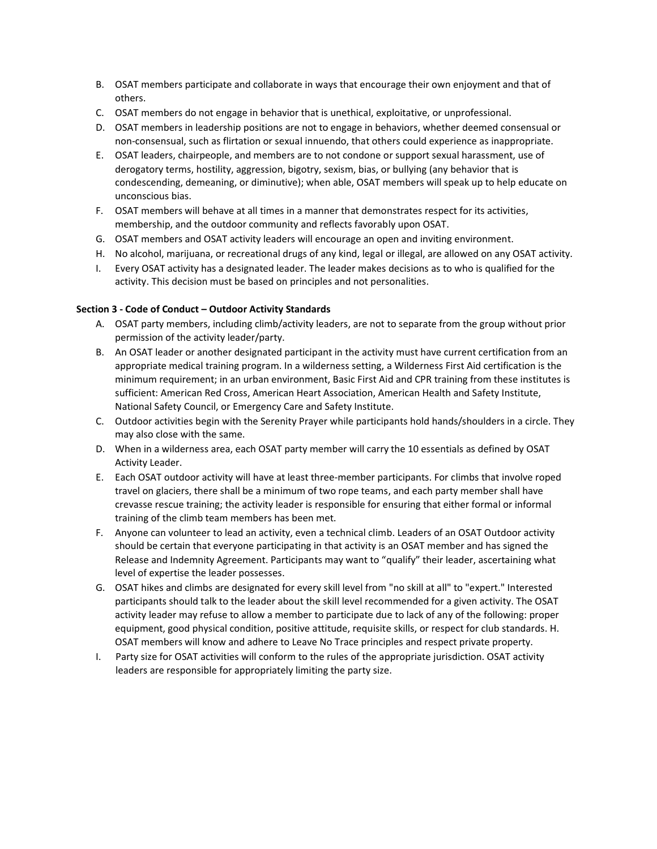- B. OSAT members participate and collaborate in ways that encourage their own enjoyment and that of others.
- C. OSAT members do not engage in behavior that is unethical, exploitative, or unprofessional.
- D. OSAT members in leadership positions are not to engage in behaviors, whether deemed consensual or non-consensual, such as flirtation or sexual innuendo, that others could experience as inappropriate.
- E. OSAT leaders, chairpeople, and members are to not condone or support sexual harassment, use of derogatory terms, hostility, aggression, bigotry, sexism, bias, or bullying (any behavior that is condescending, demeaning, or diminutive); when able, OSAT members will speak up to help educate on unconscious bias.
- F. OSAT members will behave at all times in a manner that demonstrates respect for its activities, membership, and the outdoor community and reflects favorably upon OSAT.
- G. OSAT members and OSAT activity leaders will encourage an open and inviting environment.
- H. No alcohol, marijuana, or recreational drugs of any kind, legal or illegal, are allowed on any OSAT activity.
- I. Every OSAT activity has a designated leader. The leader makes decisions as to who is qualified for the activity. This decision must be based on principles and not personalities.

## **Section 3 - Code of Conduct – Outdoor Activity Standards**

- A. OSAT party members, including climb/activity leaders, are not to separate from the group without prior permission of the activity leader/party.
- B. An OSAT leader or another designated participant in the activity must have current certification from an appropriate medical training program. In a wilderness setting, a Wilderness First Aid certification is the minimum requirement; in an urban environment, Basic First Aid and CPR training from these institutes is sufficient: American Red Cross, American Heart Association, American Health and Safety Institute, National Safety Council, or Emergency Care and Safety Institute.
- C. Outdoor activities begin with the Serenity Prayer while participants hold hands/shoulders in a circle. They may also close with the same.
- D. When in a wilderness area, each OSAT party member will carry the 10 essentials as defined by OSAT Activity Leader.
- E. Each OSAT outdoor activity will have at least three-member participants. For climbs that involve roped travel on glaciers, there shall be a minimum of two rope teams, and each party member shall have crevasse rescue training; the activity leader is responsible for ensuring that either formal or informal training of the climb team members has been met.
- F. Anyone can volunteer to lead an activity, even a technical climb. Leaders of an OSAT Outdoor activity should be certain that everyone participating in that activity is an OSAT member and has signed the Release and Indemnity Agreement. Participants may want to "qualify" their leader, ascertaining what level of expertise the leader possesses.
- G. OSAT hikes and climbs are designated for every skill level from "no skill at all" to "expert." Interested participants should talk to the leader about the skill level recommended for a given activity. The OSAT activity leader may refuse to allow a member to participate due to lack of any of the following: proper equipment, good physical condition, positive attitude, requisite skills, or respect for club standards. H. OSAT members will know and adhere to Leave No Trace principles and respect private property.
- I. Party size for OSAT activities will conform to the rules of the appropriate jurisdiction. OSAT activity leaders are responsible for appropriately limiting the party size.